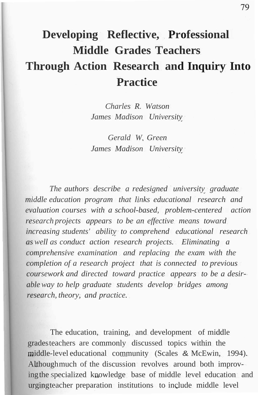# **Developing Reflective, Professional Middle Grades Teachers Through Action Research and Inquiry Into Practice**

*Charles R. Watson James Madison University*

*Gerald W. Green James Madison University*

*The authors describe a redesigned university graduate middle education program that links educational research and evaluation courses with a school-based, problem-centered action research projects appears to be an effective means toward increasing students' ability to comprehend educational research as well as conduct action research projects. Eliminating a comprehensive examination and replacing the exam with the completion of a research project that is connected to previous coursework and directed toward practice appears to be a desirableway to help graduate students develop bridges among research, theory, and practice.*

The education, training, and development of middle gradesteachers are commonly discussed topics within the middle-level educational community (Scales & McEwin, 1994). Althoughmuch of the discussion revolves around both improvingthe specialized knowledge base of middle level education and urgingteacher preparation institutions to include middle level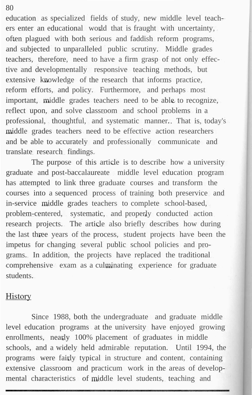education as specialized fields of study, new middle level teachers enter an educational world that is fraught with uncertainty, often plagued with both serious and faddish reform programs, and subjected to unparalleled public scrutiny. Middle grades teachers, therefore, need to have a firm grasp of not only effective and developmentally responsive teaching methods, but extensive knowledge of the research that informs practice, reform efforts, and policy. Furthermore, and perhaps most important, middle grades teachers need to be able to recognize, reflect upon, and solve classroom and school problems in a professional, thoughtful, and systematic manner. That is, today's middle grades teachers need to be effective action researchers and be able to accurately and professionally communicate and translate research findings.

The purpose of this article is to describe how a university graduate and post-baccalaureate middle level education program has attempted to link three graduate courses and transform the courses into a sequenced process of training both preservice and in-service middle grades teachers to complete school-based, problem-centered, systematic, and properly conducted action research projects. The article also briefly describes how during the last three years of the process, student projects have been the impetus for changing several public school policies and programs. In addition, the projects have replaced the traditional comprehensive exam as a culminating experience for graduate students.

#### History

Since 1988, both the undergraduate and graduate middle level education programs at the university have enjoyed growing enrollments, nearly 100% placement of graduates in middle schools, and a widely held admirable reputation. Until 1994, the programs were fairly typical in structure and content, containing extensive classroom and practicum work in the areas of developmental characteristics of middle level students, teaching and

80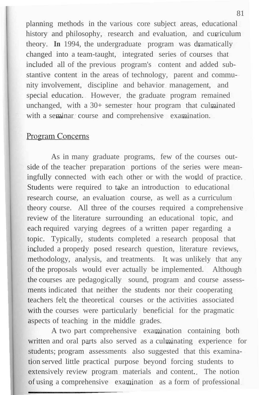planning methods in the various core subject areas, educational history and philosophy, research and evaluation, and curriculum theory. **In** 1994, the undergraduate program was dramatically changed into a team-taught, integrated series of courses that included all of the previous program's content and added substantive content in the areas of technology, parent and community involvement, discipline and behavior management, and special education. However, the graduate program remained unchanged, with a 30+ semester hour program that culminated with a seminar course and comprehensive examination.

# **Program Concerns**

As in many graduate programs, few of the courses outside of the teacher preparation portions of the series were meaningfully connected with each other or with the world of practice. Students were required to take an introduction to educational research course, an evaluation course, as well as a curriculum theory course. All three of the courses required a comprehensive review of the literature surrounding an educational topic, and each required varying degrees of a written paper regarding a topic. Typically, students completed a research proposal that included a properly posed research question, literature reviews, methodology, analysis, and treatments. It was unlikely that any of the proposals would ever actually be implemented. Although the courses are pedagogically sound, program and course assessments indicated that neither the students nor their cooperating teachers felt the theoretical courses or the activities associated with the courses were particularly beneficial for the pragmatic aspects of teaching in the middle grades.

A two part comprehensive examination containing both written and oral parts also served as a culminating experience for students; program assessments also suggested that this examination served little practical purpose beyond forcing students to extensively review program materials and content. The notion of using a comprehensive examination as a form of professional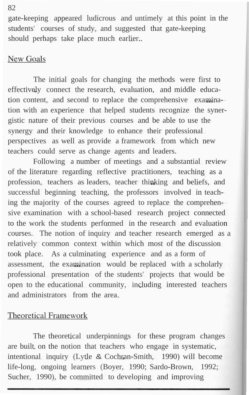gate-keeping appeared ludicrous and untimely at this point in the students' courses of study, and suggested that gate-keeping should perhaps take place much earlier.

# **New Goals**

The initial goals for changing the methods were first to effectively connect the research, evaluation, and middle education content, and second to replace the comprehensive examination with an experience that helped students recognize the synergistic nature of their previous courses and be able to use the synergy and their knowledge to enhance their professional perspectives as well as provide a framework from which new teachers could serve as change agents and leaders.

Following a number of meetings and a substantial review of the literature regarding reflective practitioners, teaching as a profession, teachers as leaders, teacher thinking and beliefs, and successful beginning teaching, the professors involved in teaching the majority of the courses agreed to replace the comprehensive examination with a school-based research project connected to the work the students performed in the research and evaluation courses. The notion of inquiry and teacher research emerged as a relatively common context within which most of the discussion took place. As a culminating experience and as a form of assessment, the examination would be replaced with a scholarly professional presentation of the students' projects that would be open to the educational community, including interested teachers and administrators from the area.

# **Theoretical Framework**

The theoretical underpinnings for these program changes are built on the notion that teachers who engage in systematic, intentional inquiry (Lytle & Cochran-Smith, 1990) will become life-long, ongoing learners (Boyer, 1990; Sardo-Brown, 1992; Sucher, 1990), be committed to developing and improving

#### 82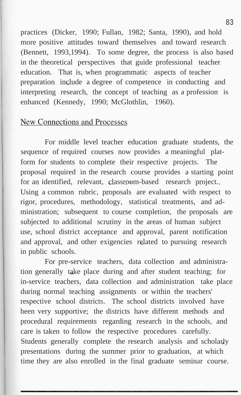practices (Dicker, 1990; Fullan, 1982; Santa, 1990), and hold more positive attitudes toward themselves and toward research (Bennett, 1993,1994). To some degree, the process is also based in the theoretical perspectives that guide professional teacher education. That is, when programmatic aspects of teacher preparation include a degree of competence in conducting and interpreting research, the concept of teaching as a profession is enhanced (Kennedy, 1990; McGlothlin, 1960).

### **New Connections and Processes**

For middle level teacher education graduate students, the sequence of required courses now provides a meaningful platform for students to complete their respective projects. The proposal required in the research course provides a starting point for an identified, relevant, classroom-based research project. Using a common rubric, proposals are evaluated with respect to rigor, procedures, methodology, statistical treatments, and administration; subsequent to course completion, the proposals are subjected to additional scrutiny in the areas of human subject use, school district acceptance and approval, parent notification and approval, and other exigencies related to pursuing research in public schools.

For pre-service teachers, data collection and administration generally take place during and after student teaching; for in-service teachers, data collection and administration take place during normal teaching assignments or within the teachers' respective school districts. The school districts involved have been very supportive; the districts have different methods and procedural requirements regarding research in the schools, and care is taken to follow the respective procedures carefully. Students generally complete the research analysis and scholarly presentations during the summer prior to graduation, at which time they are also enrolled in the final graduate seminar course.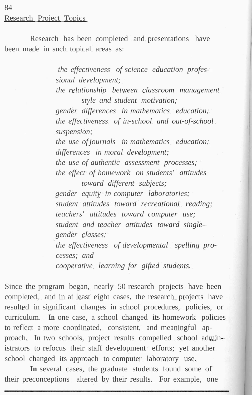# 84 Research Project Topics

Research has been completed and presentations have been made in such topical areas as:

> *the effectiveness of science education professional development;*

*the relationship between classroom management style and student motivation;*

*gender differences in mathematics education; the effectiveness of in-school and out-of-school suspension;*

*the use of journals in mathematics education; differences in moral development; the use of authentic assessment processes; the effect of homework on students' attitudes*

*toward different subjects; gender equity in computer laboratories; student attitudes toward recreational reading; teachers' attitudes toward computer use; student and teacher attitudes toward singlegender classes; the effectiveness of developmental spelling processes; and cooperative learning for gifted students.*

Since the program began, nearly 50 research projects have been completed, and in at least eight cases, the research projects have resulted in significant changes in school procedures, policies, or curriculum. **In** one case, a school changed its homework policies to reflect a more coordinated, consistent, and meaningful approach. **In** two schools, project results compelled school administrators to refocus their staff development efforts; yet another school changed its approach to computer laboratory use.

**In** several cases, the graduate students found some of their preconceptions altered by their results. For example, one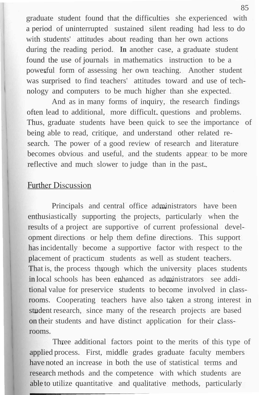graduate student found that the difficulties she experienced with a period of uninterrupted sustained silent reading had less to do with students' attitudes about reading than her own actions during the reading period. **In** another case, a graduate student found the use of journals in mathematics instruction to be a powerful form of assessing her own teaching. Another student was surprised to find teachers' attitudes toward and use of technology and computers to be much higher than she expected.

And as in many forms of inquiry, the research findings often lead to additional, more difficult, questions and problems. Thus, graduate students have been quick to see the importance of being able to read, critique, and understand other related research. The power of a good review of research and literature becomes obvious and useful, and the students appear to be more reflective and much slower to judge than in the past.

#### **Further Discussion**

Principals and central office administrators have been enthusiastically supporting the projects, particularly when the results of a project are supportive of current professional development directions or help them define directions. This support has incidentally become a supportive factor with respect to the placement of practicum students as well as student teachers. That is, the process through which the university places students in local schools has been enhanced as administrators see additional value for preservice students to become involved in classrooms. Cooperating teachers have also taken a strong interest in student research, since many of the research projects are based on their students and have distinct application for their classrooms.

Three additional factors point to the merits of this type of applied process. First, middle grades graduate faculty members have noted an increase in both the use of statistical terms and research methods and the competence with which students are able to utilize quantitative and qualitative methods, particularly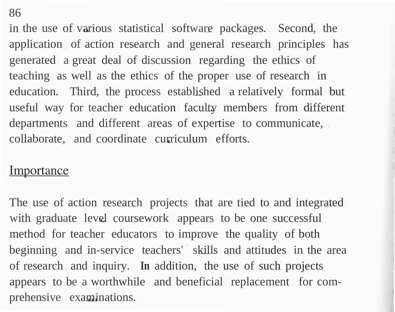86

in the use of various statistical software packages. Second, the application of action research and general research principles has generated a great deal of discussion regarding the ethics of teaching as well as the ethics of the proper use of research in education. Third, the process established a relatively formal but useful way for teacher education faculty members from different departments and different areas of expertise to communicate, collaborate, and coordinate curriculum efforts.

#### Importance

The use of action research projects that are tied to and integrated with graduate level coursework appears to be one successful method for teacher educators to improve the quality of both beginning and in-service teachers' skills and attitudes in the area of research and inquiry. **In** addition, the use of such projects appears to be a worthwhile and beneficial replacement for comprehensive examinations.